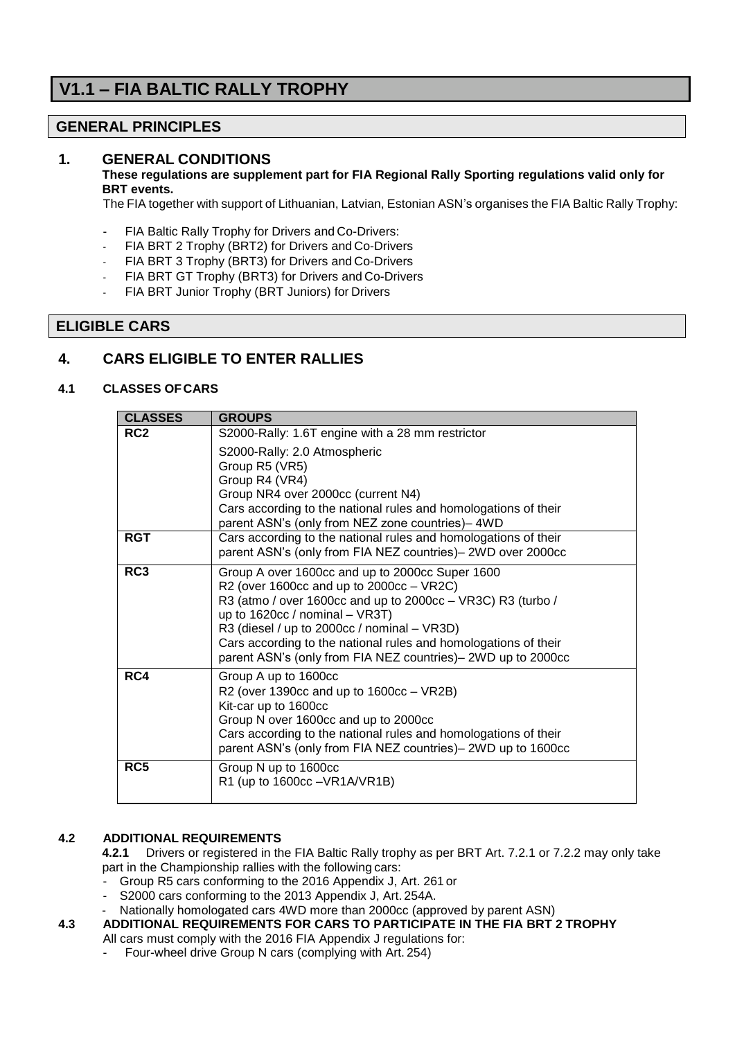# **V1.1 – FIA BALTIC RALLY TROPHY**

# **GENERAL PRINCIPLES**

# **1. GENERAL CONDITIONS**

#### **These regulations are supplement part for FIA Regional Rally Sporting regulations valid only for BRT events.**

The FIA together with support of Lithuanian, Latvian, Estonian ASN's organises the FIA Baltic Rally Trophy:

- FIA Baltic Rally Trophy for Drivers and Co-Drivers:
- FIA BRT 2 Trophy (BRT2) for Drivers and Co-Drivers
- FIA BRT 3 Trophy (BRT3) for Drivers and Co-Drivers
- FIA BRT GT Trophy (BRT3) for Drivers and Co-Drivers
- FIA BRT Junior Trophy (BRT Juniors) for Drivers

# **ELIGIBLE CARS**

# **4. CARS ELIGIBLE TO ENTER RALLIES**

### **4.1 CLASSES OFCARS**

| <b>CLASSES</b>  | <b>GROUPS</b>                                                                                                                                                                                                                                                                                                                                                                       |
|-----------------|-------------------------------------------------------------------------------------------------------------------------------------------------------------------------------------------------------------------------------------------------------------------------------------------------------------------------------------------------------------------------------------|
| RC <sub>2</sub> | S2000-Rally: 1.6T engine with a 28 mm restrictor                                                                                                                                                                                                                                                                                                                                    |
| <b>RGT</b>      | S2000-Rally: 2.0 Atmospheric<br>Group R5 (VR5)<br>Group R4 (VR4)<br>Group NR4 over 2000cc (current N4)<br>Cars according to the national rules and homologations of their<br>parent ASN's (only from NEZ zone countries)-4WD                                                                                                                                                        |
|                 | Cars according to the national rules and homologations of their<br>parent ASN's (only from FIA NEZ countries)- 2WD over 2000cc                                                                                                                                                                                                                                                      |
| RC3             | Group A over 1600cc and up to 2000cc Super 1600<br>R2 (over 1600cc and up to $2000cc - VR2C$ )<br>R3 (atmo / over 1600cc and up to 2000cc - VR3C) R3 (turbo /<br>up to $1620cc /$ nominal - VR3T)<br>R3 (diesel / up to 2000cc / nominal - VR3D)<br>Cars according to the national rules and homologations of their<br>parent ASN's (only from FIA NEZ countries)- 2WD up to 2000cc |
| RC4             | Group A up to 1600cc<br>R2 (over 1390cc and up to $1600cc - VR2B$ )<br>Kit-car up to 1600cc<br>Group N over 1600cc and up to 2000cc<br>Cars according to the national rules and homologations of their<br>parent ASN's (only from FIA NEZ countries)-2WD up to 1600cc                                                                                                               |
| RC5             | Group N up to 1600cc<br>R1 (up to 1600cc - VR1A/VR1B)                                                                                                                                                                                                                                                                                                                               |

#### **4.2 ADDITIONAL REQUIREMENTS**

**4.2.1** Drivers or registered in the FIA Baltic Rally trophy as per BRT Art. 7.2.1 or 7.2.2 may only take part in the Championship rallies with the following cars:

- Group R5 cars conforming to the 2016 Appendix J, Art. 261 or
- S2000 cars conforming to the 2013 Appendix J, Art. 254A.
- Nationally homologated cars 4WD more than 2000cc (approved by parent ASN)
- **4.3 ADDITIONAL REQUIREMENTS FOR CARS TO PARTICIPATE IN THE FIA BRT 2 TROPHY** All cars must comply with the 2016 FIA Appendix J regulations for:
	- Four-wheel drive Group N cars (complying with Art. 254)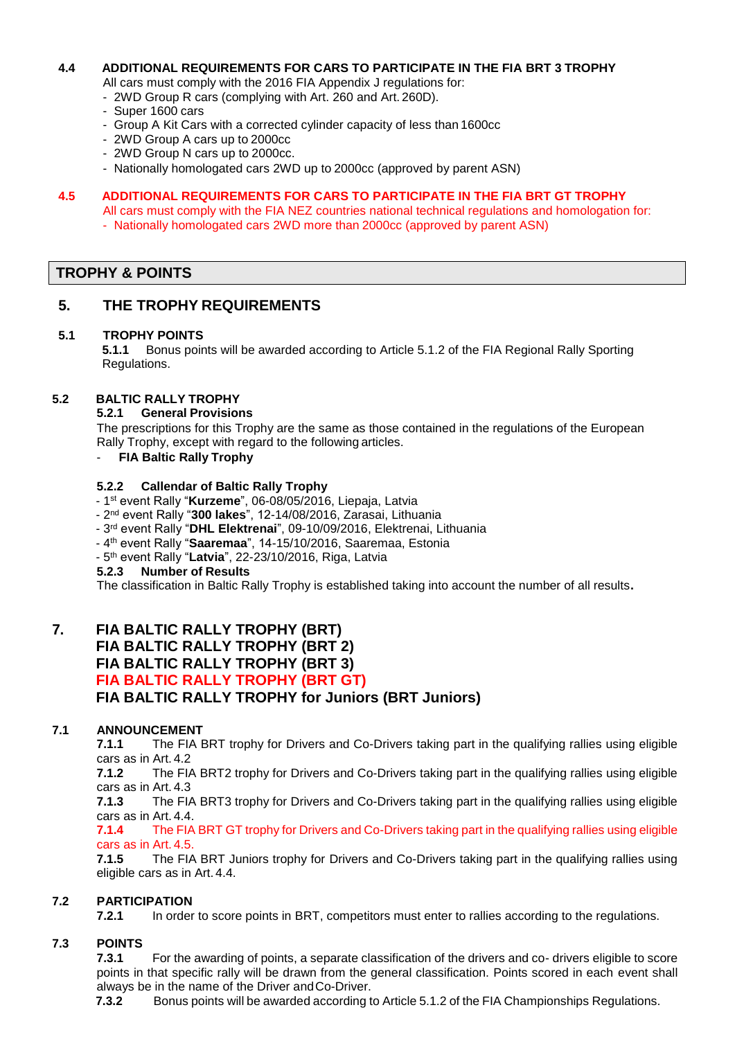### **4.4 ADDITIONAL REQUIREMENTS FOR CARS TO PARTICIPATE IN THE FIA BRT 3 TROPHY**

- All cars must comply with the 2016 FIA Appendix J regulations for:
- 2WD Group R cars (complying with Art. 260 and Art. 260D).
- Super 1600 cars
- Group A Kit Cars with a corrected cylinder capacity of less than 1600cc
- 2WD Group A cars up to 2000cc
- 2WD Group N cars up to 2000cc.
- Nationally homologated cars 2WD up to 2000cc (approved by parent ASN)

### **4.5 ADDITIONAL REQUIREMENTS FOR CARS TO PARTICIPATE IN THE FIA BRT GT TROPHY**

- All cars must comply with the FIA NEZ countries national technical regulations and homologation for:
- Nationally homologated cars 2WD more than 2000cc (approved by parent ASN)

# **TROPHY & POINTS**

# **5. THE TROPHY REQUIREMENTS**

#### **5.1 TROPHY POINTS**

**5.1.1** Bonus points will be awarded according to Article 5.1.2 of the FIA Regional Rally Sporting Regulations.

#### **5.2 BALTIC RALLY TROPHY**

#### **5.2.1 General Provisions**

The prescriptions for this Trophy are the same as those contained in the regulations of the European Rally Trophy, except with regard to the following articles.

- **FIA Baltic Rally Trophy**

#### **5.2.2 Callendar of Baltic Rally Trophy**

- 1 st event Rally "**Kurzeme**", 06-08/05/2016, Liepaja, Latvia
- 2 nd event Rally "**300 lakes**", 12-14/08/2016, Zarasai, Lithuania
- 3 rd event Rally "**DHL Elektrenai**", 09-10/09/2016, Elektrenai, Lithuania
- 4 th event Rally "**Saaremaa**", 14-15/10/2016, Saaremaa, Estonia
- 5 th event Rally "**Latvia**", 22-23/10/2016, Riga, Latvia

#### **5.2.3 Number of Results**

The classification in Baltic Rally Trophy is established taking into account the number of all results**.**

# **7. FIA BALTIC RALLY TROPHY (BRT) FIA BALTIC RALLY TROPHY (BRT 2) FIA BALTIC RALLY TROPHY (BRT 3) FIA BALTIC RALLY TROPHY (BRT GT) FIA BALTIC RALLY TROPHY for Juniors (BRT Juniors)**

#### **7.1 ANNOUNCEMENT**

**7.1.1** The FIA BRT trophy for Drivers and Co-Drivers taking part in the qualifying rallies using eligible cars as in Art. 4.2

**7.1.2** The FIA BRT2 trophy for Drivers and Co-Drivers taking part in the qualifying rallies using eligible cars as in Art. 4.3

**7.1.3** The FIA BRT3 trophy for Drivers and Co-Drivers taking part in the qualifying rallies using eligible cars as in Art. 4.4.

**7.1.4** The FIA BRT GT trophy for Drivers and Co-Drivers taking part in the qualifying rallies using eligible cars as in Art. 4.5.

**7.1.5** The FIA BRT Juniors trophy for Drivers and Co-Drivers taking part in the qualifying rallies using eligible cars as in Art. 4.4.

#### **7.2 PARTICIPATION**

**7.2.1** In order to score points in BRT, competitors must enter to rallies according to the regulations.

### **7.3 POINTS**

**7.3.1** For the awarding of points, a separate classification of the drivers and co- drivers eligible to score points in that specific rally will be drawn from the general classification. Points scored in each event shall always be in the name of the Driver andCo-Driver.

**7.3.2** Bonus points will be awarded according to Article 5.1.2 of the FIA Championships Regulations.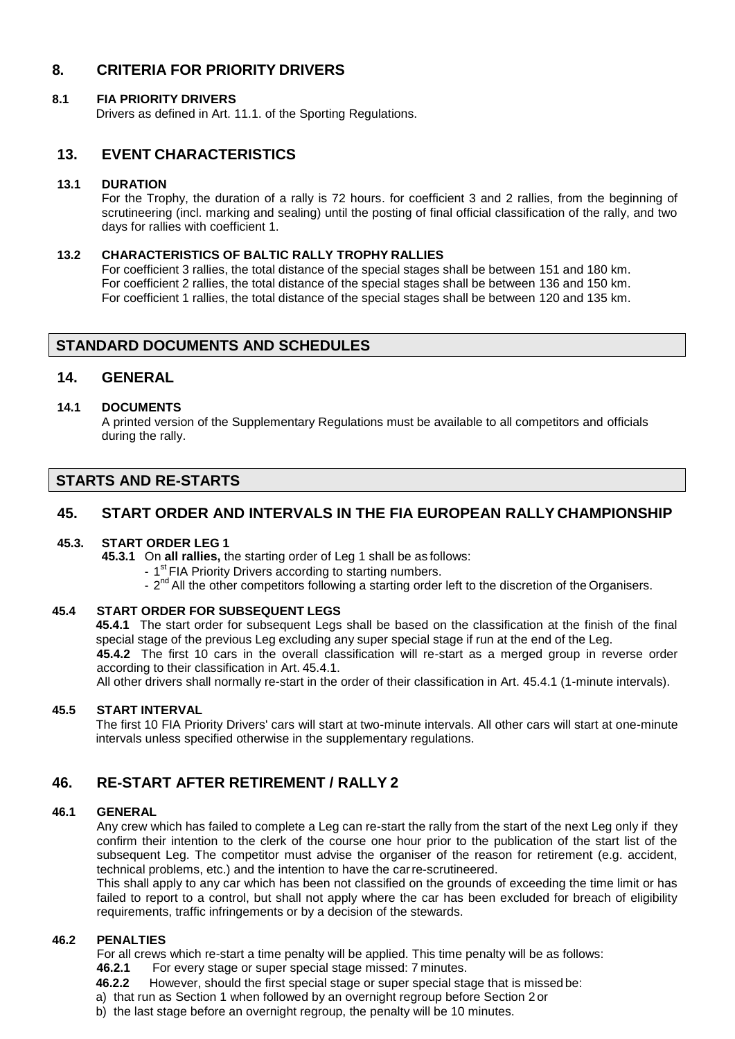# **8. CRITERIA FOR PRIORITY DRIVERS**

### **8.1 FIA PRIORITY DRIVERS**

Drivers as defined in Art. 11.1. of the Sporting Regulations.

# **13. EVENT CHARACTERISTICS**

#### **13.1 DURATION**

For the Trophy, the duration of a rally is 72 hours. for coefficient 3 and 2 rallies, from the beginning of scrutineering (incl. marking and sealing) until the posting of final official classification of the rally, and two days for rallies with coefficient 1.

### **13.2 CHARACTERISTICS OF BALTIC RALLY TROPHY RALLIES**

For coefficient 3 rallies, the total distance of the special stages shall be between 151 and 180 km. For coefficient 2 rallies, the total distance of the special stages shall be between 136 and 150 km. For coefficient 1 rallies, the total distance of the special stages shall be between 120 and 135 km.

### **STANDARD DOCUMENTS AND SCHEDULES**

### **14. GENERAL**

#### **14.1 DOCUMENTS**

A printed version of the Supplementary Regulations must be available to all competitors and officials during the rally.

# **STARTS AND RE-STARTS**

# **45. START ORDER AND INTERVALS IN THE FIA EUROPEAN RALLY CHAMPIONSHIP**

#### **45.3. START ORDER LEG 1**

**45.3.1** On **all rallies,** the starting order of Leg 1 shall be as follows:

- 1<sup>st</sup> FIA Priority Drivers according to starting numbers.
- 2<sup>nd</sup> All the other competitors following a starting order left to the discretion of the Organisers.

### **45.4 START ORDER FOR SUBSEQUENT LEGS**

**45.4.1** The start order for subsequent Legs shall be based on the classification at the finish of the final special stage of the previous Leg excluding any super special stage if run at the end of the Leg.

**45.4.2** The first 10 cars in the overall classification will re-start as a merged group in reverse order according to their classification in Art. 45.4.1.

All other drivers shall normally re-start in the order of their classification in Art. 45.4.1 (1-minute intervals).

#### **45.5 START INTERVAL**

The first 10 FIA Priority Drivers' cars will start at two-minute intervals. All other cars will start at one-minute intervals unless specified otherwise in the supplementary regulations.

# **46. RE-START AFTER RETIREMENT / RALLY 2**

#### **46.1 GENERAL**

Any crew which has failed to complete a Leg can re-start the rally from the start of the next Leg only if they confirm their intention to the clerk of the course one hour prior to the publication of the start list of the subsequent Leg. The competitor must advise the organiser of the reason for retirement (e.g. accident, technical problems, etc.) and the intention to have the carre-scrutineered.

This shall apply to any car which has been not classified on the grounds of exceeding the time limit or has failed to report to a control, but shall not apply where the car has been excluded for breach of eligibility requirements, traffic infringements or by a decision of the stewards.

#### **46.2 PENALTIES**

For all crews which re-start a time penalty will be applied. This time penalty will be as follows:<br>46.2.1 For every stage or super special stage missed: 7 minutes.

- **46.2.1** For every stage or super special stage missed: 7 minutes.
- **46.2.2** However, should the first special stage or super special stage that is missed be:
- a) that run as Section 1 when followed by an overnight regroup before Section 2 or
- b) the last stage before an overnight regroup, the penalty will be 10 minutes.